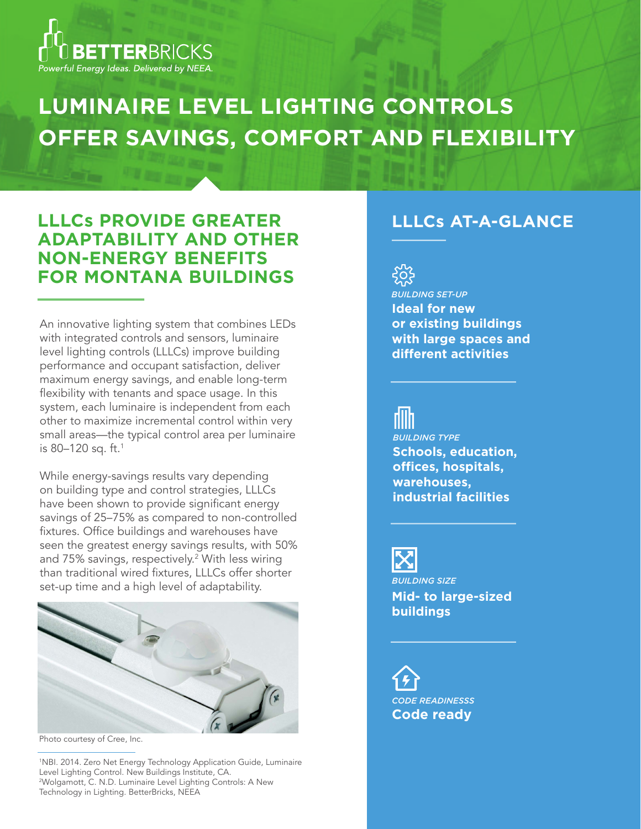

# **LUMINAIRE LEVEL LIGHTING CONTROLS OFFER SAVINGS, COMFORT AND FLEXIBILITY**

### **LLLCs PROVIDE GREATER ADAPTABILITY AND OTHER NON-ENERGY BENEFITS FOR MONTANA BUILDINGS**

An innovative lighting system that combines LEDs with integrated controls and sensors, luminaire level lighting controls (LLLCs) improve building performance and occupant satisfaction, deliver maximum energy savings, and enable long-term flexibility with tenants and space usage. In this system, each luminaire is independent from each other to maximize incremental control within very small areas—the typical control area per luminaire is 80–120 sq. ft.<sup>1</sup>

While energy-savings results vary depending on building type and control strategies, LLLCs have been shown to provide significant energy savings of 25–75% as compared to non-controlled fixtures. Office buildings and warehouses have seen the greatest energy savings results, with 50% and 75% savings, respectively.<sup>2</sup> With less wiring than traditional wired fixtures, LLLCs offer shorter set-up time and a high level of adaptability.



Photo courtesy of Cree, Inc.

1 NBI. 2014. Zero Net Energy Technology Application Guide, Luminaire Level Lighting Control. New Buildings Institute, CA. 2 Wolgamott, C. N.D. Luminaire Level Lighting Controls: A New Technology in Lighting. BetterBricks, NEEA

### **LLLCs AT-A-GLANCE**



**Ideal for new or existing buildings with large spaces and different activities** *BUILDING SET-UP*

**Schools, education, offices, hospitals, warehouses, industrial facilities** *BUILDING TYPE*

*BUILDING SIZE* **Mid- to large-sized buildings**

**Code ready**  *CODE READINESSS*